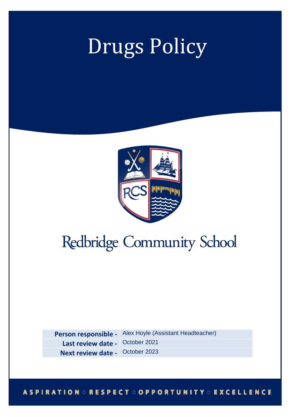# Drugs Policy



# Redbridge Community School

**Person responsible -** Alex Hoyle (Assistant Headteacher) Last review date - October 2021 **Next review date -** October 2023

# **ASPIRATION ORESPECT OOPPORTUNITY OEXCELLENCE**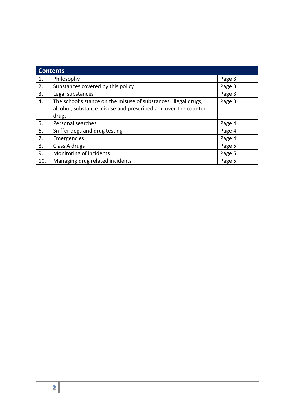| <b>Contents</b> |                                                                                                                                  |        |
|-----------------|----------------------------------------------------------------------------------------------------------------------------------|--------|
| 1.              | Philosophy                                                                                                                       | Page 3 |
| 2.              | Substances covered by this policy                                                                                                | Page 3 |
| 3.              | Legal substances                                                                                                                 | Page 3 |
| 4.              | The school's stance on the misuse of substances, illegal drugs,<br>alcohol, substance misuse and prescribed and over the counter | Page 3 |
|                 | drugs                                                                                                                            |        |
| 5.              | Personal searches                                                                                                                | Page 4 |
| 6.              | Sniffer dogs and drug testing                                                                                                    | Page 4 |
| 7.              | Emergencies                                                                                                                      | Page 4 |
| 8.              | Class A drugs                                                                                                                    | Page 5 |
| 9.              | Monitoring of incidents                                                                                                          | Page 5 |
| 10.             | Managing drug related incidents                                                                                                  | Page 5 |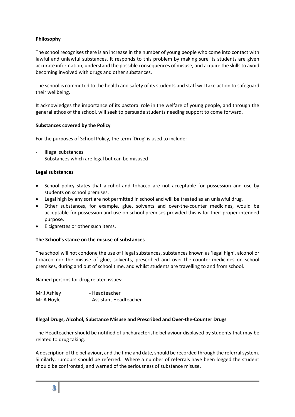# **Philosophy**

The school recognises there is an increase in the number of young people who come into contact with lawful and unlawful substances. It responds to this problem by making sure its students are given accurate information, understand the possible consequences of misuse, and acquire the skills to avoid becoming involved with drugs and other substances.

The school is committed to the health and safety of its students and staff will take action to safeguard their wellbeing.

It acknowledges the importance of its pastoral role in the welfare of young people, and through the general ethos of the school, will seek to persuade students needing support to come forward.

# **Substances covered by the Policy**

For the purposes of School Policy, the term 'Drug' is used to include:

- Illegal substances
- Substances which are legal but can be misused

# **Legal substances**

- School policy states that alcohol and tobacco are not acceptable for possession and use by students on school premises.
- Legal high by any sort are not permitted in school and will be treated as an unlawful drug.
- Other substances, for example, glue, solvents and over-the-counter medicines, would be acceptable for possession and use on school premises provided this is for their proper intended purpose.
- E cigarettes or other such items.

# **The School's stance on the misuse of substances**

The school will not condone the use of illegal substances, substances known as 'legal high', alcohol or tobacco nor the misuse of glue, solvents, prescribed and over-the-counter-medicines on school premises, during and out of school time, and whilst students are travelling to and from school.

Named persons for drug related issues:

| Mr J Ashley | - Headteacher           |
|-------------|-------------------------|
| Mr A Hoyle  | - Assistant Headteacher |

#### **Illegal Drugs, Alcohol, Substance Misuse and Prescribed and Over-the-Counter Drugs**

The Headteacher should be notified of uncharacteristic behaviour displayed by students that may be related to drug taking.

A description of the behaviour, and the time and date, should be recorded through the referral system. Similarly, rumours should be referred. Where a number of referrals have been logged the student should be confronted, and warned of the seriousness of substance misuse.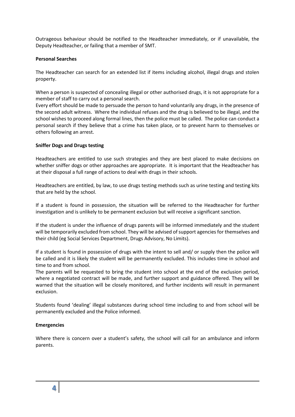Outrageous behaviour should be notified to the Headteacher immediately, or if unavailable, the Deputy Headteacher, or failing that a member of SMT.

#### **Personal Searches**

The Headteacher can search for an extended list if items including alcohol, illegal drugs and stolen property.

When a person is suspected of concealing illegal or other authorised drugs, it is not appropriate for a member of staff to carry out a personal search.

Every effort should be made to persuade the person to hand voluntarily any drugs, in the presence of the second adult witness. Where the individual refuses and the drug is believed to be illegal, and the school wishes to proceed along formal lines, then the police must be called. The police can conduct a personal search if they believe that a crime has taken place, or to prevent harm to themselves or others following an arrest.

# **Sniffer Dogs and Drugs testing**

Headteachers are entitled to use such strategies and they are best placed to make decisions on whether sniffer dogs or other approaches are appropriate. It is important that the Headteacher has at their disposal a full range of actions to deal with drugs in their schools.

Headteachers are entitled, by law, to use drugs testing methods such as urine testing and testing kits that are held by the school.

If a student is found in possession, the situation will be referred to the Headteacher for further investigation and is unlikely to be permanent exclusion but will receive a significant sanction.

If the student is under the influence of drugs parents will be informed immediately and the student will be temporarily excluded from school. They will be advised of support agencies for themselves and their child (eg Social Services Department, Drugs Advisory, No Limits).

If a student is found in possession of drugs with the intent to sell and/ or supply then the police will be called and it is likely the student will be permanently excluded. This includes time in school and time to and from school.

The parents will be requested to bring the student into school at the end of the exclusion period, where a negotiated contract will be made, and further support and guidance offered. They will be warned that the situation will be closely monitored, and further incidents will result in permanent exclusion.

Students found 'dealing' illegal substances during school time including to and from school will be permanently excluded and the Police informed.

#### **Emergencies**

Where there is concern over a student's safety, the school will call for an ambulance and inform parents.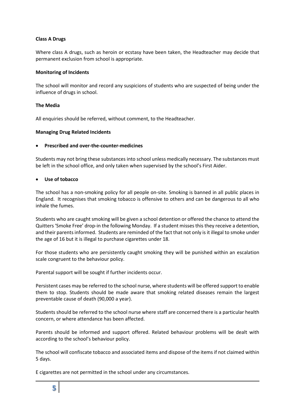# **Class A Drugs**

Where class A drugs, such as heroin or ecstasy have been taken, the Headteacher may decide that permanent exclusion from school is appropriate.

#### **Monitoring of Incidents**

The school will monitor and record any suspicions of students who are suspected of being under the influence of drugs in school.

# **The Media**

All enquiries should be referred, without comment, to the Headteacher.

# **Managing Drug Related Incidents**

# **Prescribed and over-the-counter-medicines**

Students may not bring these substances into school unless medically necessary. The substances must be left in the school office, and only taken when supervised by the school's First Aider.

# **Use of tobacco**

The school has a non-smoking policy for all people on-site. Smoking is banned in all public places in England. It recognises that smoking tobacco is offensive to others and can be dangerous to all who inhale the fumes.

Students who are caught smoking will be given a school detention or offered the chance to attend the Quitters 'Smoke Free' drop-in the following Monday. If a student misses this they receive a detention, and their parents informed. Students are reminded of the fact that not only is it illegal to smoke under the age of 16 but it is illegal to purchase cigarettes under 18.

For those students who are persistently caught smoking they will be punished within an escalation scale congruent to the behaviour policy.

Parental support will be sought if further incidents occur.

Persistent cases may be referred to the school nurse, where students will be offered support to enable them to stop. Students should be made aware that smoking related diseases remain the largest preventable cause of death (90,000 a year).

Students should be referred to the school nurse where staff are concerned there is a particular health concern, or where attendance has been affected.

Parents should be informed and support offered. Related behaviour problems will be dealt with according to the school's behaviour policy.

The school will confiscate tobacco and associated items and dispose of the items if not claimed within 5 days.

E cigarettes are not permitted in the school under any circumstances.